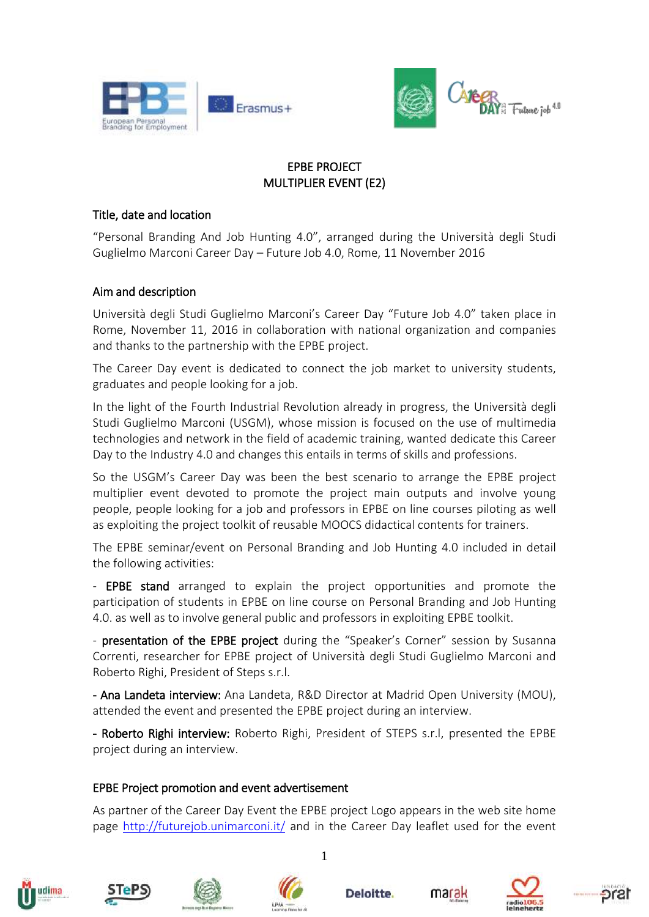



# EPBE PROJECT MULTIPLIER EVENT (E2)

## Title, date and location

"Personal Branding And Job Hunting 4.0", arranged during the Università degli Studi Guglielmo Marconi Career Day – Future Job 4.0, Rome, 11 November 2016

## Aim and description

Università degli Studi Guglielmo Marconi's Career Day "Future Job 4.0" taken place in Rome, November 11, 2016 in collaboration with national organization and companies and thanks to the partnership with the [EPBE project.](http://epbe.eu/)

The Career Day event is dedicated to connect the job market to university students, graduates and people looking for a job.

In the light of the Fourth Industrial Revolution already in progress, the Università degli Studi Guglielmo Marconi (USGM), whose mission is focused on the use of multimedia technologies and network in the field of academic training, wanted dedicate this Career Day to the Industry 4.0 and changes this entails in terms of skills and professions.

So the USGM's Career Day was been the best scenario to arrange the EPBE project multiplier event devoted to promote the project main outputs and involve young people, people looking for a job and professors in EPBE on line courses piloting as well as exploiting the project toolkit of reusable MOOCS didactical contents for trainers.

The EPBE seminar/event on Personal Branding and Job Hunting 4.0 included in detail the following activities:

- **EPBE stand** arranged to explain the project opportunities and promote the participation of students in EPBE on line course on Personal Branding and Job Hunting 4.0. as well as to involve general public and professors in exploiting EPBE toolkit.

- presentation of the EPBE project during the "Speaker's Corner" session by Susanna Correnti, researcher for EPBE project of Università degli Studi Guglielmo Marconi and Roberto Righi, President of Steps s.r.l.

- Ana Landeta interview: Ana Landeta, R&D Director at Madrid Open University (MOU), attended the event and presented the EPBE project during an interview.

- Roberto Righi interview: Roberto Righi, President of STEPS s.r.l, presented the EPBE project during an interview.

## EPBE Project promotion and event advertisement

As partner of the Career Day Event the EPBE project Logo appears in the web site home page <http://futurejob.unimarconi.it/> and in the Career Day leaflet used for the event















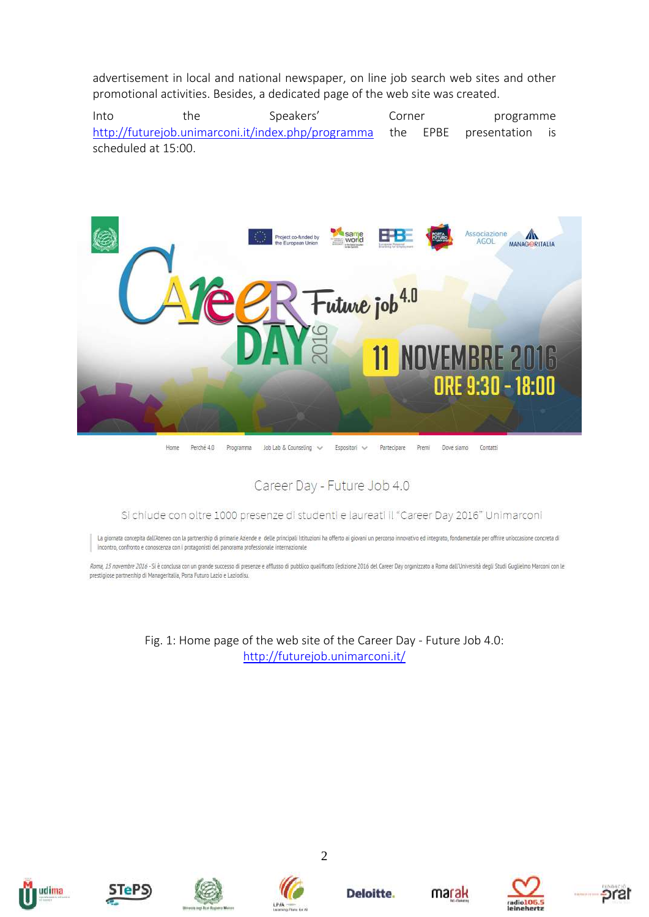advertisement in local and national newspaper, on line job search web sites and other promotional activities. Besides, a dedicated page of the web site was created.

Into the Speakers' Corner programme <http://futurejob.unimarconi.it/index.php/programma> the EPBE presentation is scheduled at 15:00.



Home Perché 4.0 Programma Job Lab & Counseling Espositori V Partecipare Premi Dove siamo Contatti

Career Day - Future Job 4.0

#### Si chiude con oltre 1000 presenze di studenti e laureati il "Career Day 2016" Unimarconi

La giornata concepita dall'Ateneo con la partnership di primarie Aziende e delle principali Istituzioni ha offerto ai giovani un percorso innovativo ed integrato, fondamentale per offrire un'occasione concreta di incontro, confronto e conoscenza con i protagonisti del panorama professionale internazionale

Roma, 15 novembre 2016 - Si è conclusa con un grande successo di presenze e afflusso di pubblico qualificato l'edizione 2016 del Career Day organizzato a Roma dall'Università degli Studi Guglielmo Marconi con le prestigiose partnership di Manageritalia, Porta Futuro Lazio e Laziodisu.

> Fig. 1: Home page of the web site of the Career Day - Future Job 4.0: <http://futurejob.unimarconi.it/>















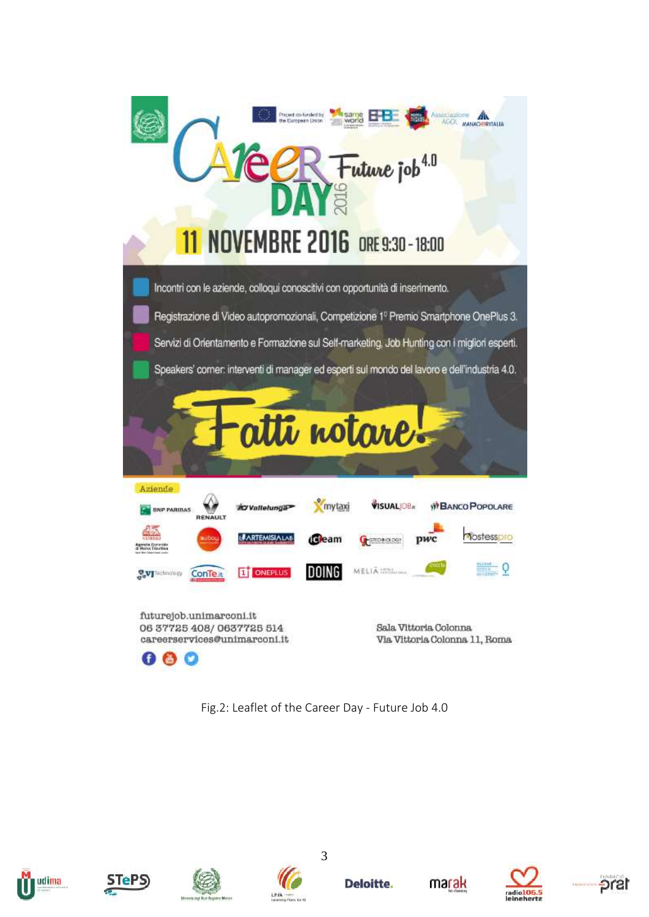

Fig.2: Leaflet of the Career Day - Future Job 4.0











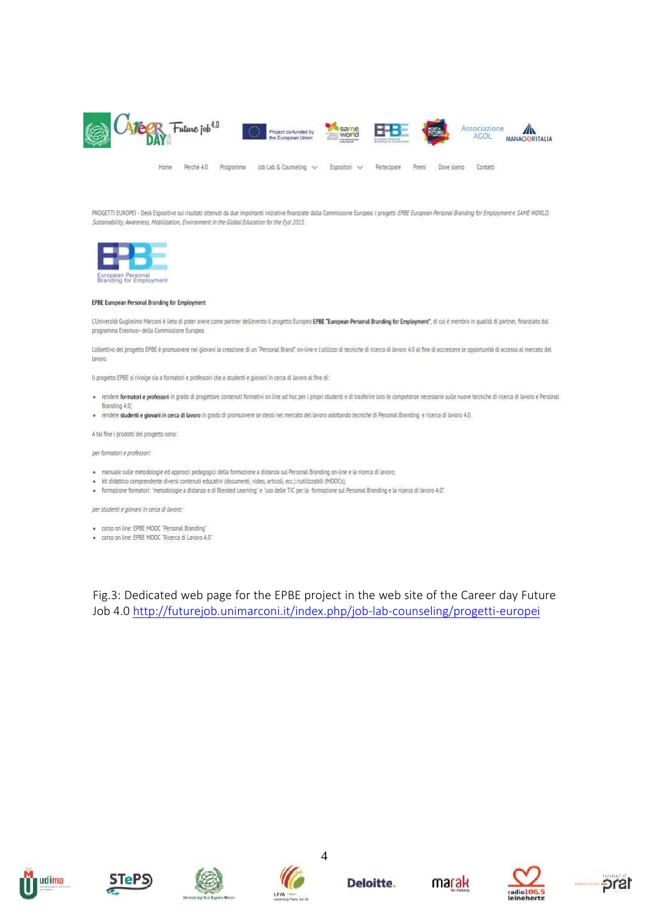

PROGETTI EUROPEI - Desk Espositivo sui risultati ottenuti da due importanti iniziative finanziate dalla Commissione Europea: i progetti EPBE European Personal Branding for Employment e SAME WORLD, Sustainability, Awareness, Mobilization, Environment in the Global Education for the Eyd 2015.



#### EPBE European Personal Branding for Employment

L'Università Guglielmo Marconi è lieta di poter avere come partner dell'evento il progetto Europeo EPBE "European Personal Branding for Employment", di cui è membro in qualità di partner, finanziato dal programma Erasmus+ della Commissione Europea.

L'objettivo del propetto EPBE è promuovere nei giovani la creazione di un "Personal Brand" on-line e Lutilizzo di tecniche di ricerca di lavoro 4.0 al fine di accrescere le opportunità di accesso al mercato del layoro.

Il progetto EPBE si rivolge sia a formatori e professori che a studenti e giovani in cerca di lavoro al fine di:

- · rendere formatori e professori in grado di progettare contenuti formativi on line ad hoc per i propri studenti e di trasferire loro le competenze necessarie sulle nuove tecniche di ricerca di lavoro e Personal. Branding 4.0;
- · rendere studenti e giovani in cerca di lavoro in grado di promuovere se stessi nel mercato del lavoro adottando tecniche di Personal Branding e ricerca di lavoro 4.0.

A tal fine i prodotti del progetto sono:

per formatori e professori:

- · manuale sulle metodologie ed approcci pedagogici della formazione a distanza sul Personal Branding on-line e la ricerca di lavoro;
- · kit didattico comprendente diversi contenuti educativi (documenti, video, articoli, ecc.) riutilizzabili (MOOCs);
- · formazione formatori: "metodologie a distanza e di Blended Learning" e "uso delle TIC per la formazione sul Personal Branding e la ricerca di lavoro 4.0".

per studenti e giovani in cerca di lavoro:

- · corso on line: EPBE MOOC 'Personal Branding'
- · corso on line: EPBE MOOC 'Ricerca di Lavoro 4.0"

Fig.3: Dedicated web page for the EPBE project in the web site of the Career day Future Job 4.0<http://futurejob.unimarconi.it/index.php/job-lab-counseling/progetti-europei>









Deloitte.





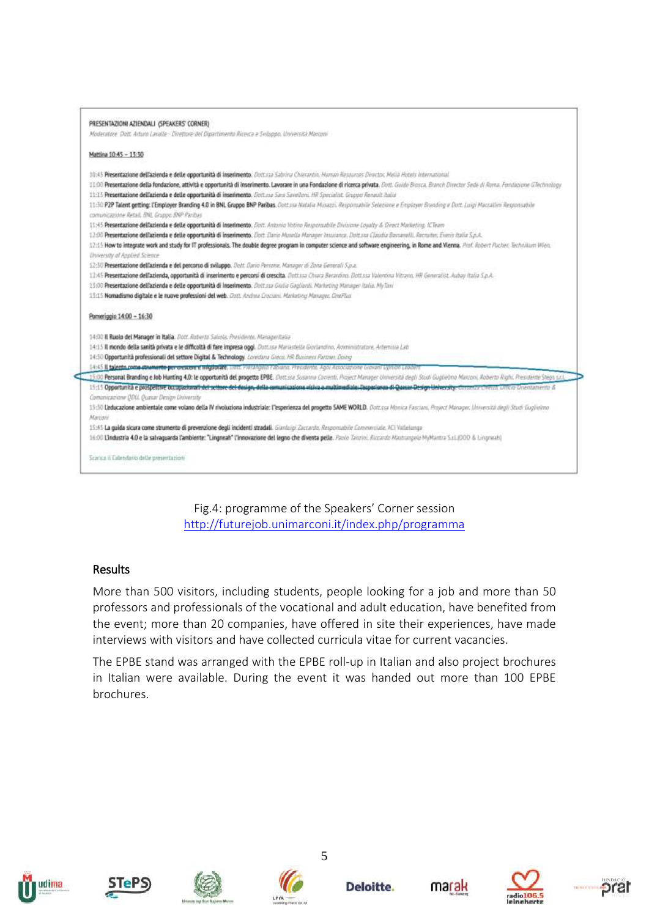|                                           | PRESENTAZIONI AZIENDALI (SPEAKERS CORNER)                                                                                                                                                            |
|-------------------------------------------|------------------------------------------------------------------------------------------------------------------------------------------------------------------------------------------------------|
|                                           | Moderatore Dott. Arturo Lavalle - Direttore del Dipartimento Ricevca e Sviluppo, Università Marconi                                                                                                  |
| Mattina 10:45 - 13:30                     |                                                                                                                                                                                                      |
|                                           | 10:45 Presentazione dell'azienda e delle opportunità di inserimento. Dett.ssa Sabrina Chierantin. Human Resources Director, Mella Hotels International                                               |
|                                           | 11:00 Presentazione della fondazione, attività e opportunità di inserimento. Lavorare in una Fondazione di ricerca privata. Dutt. Guido Brosca. Branch Director Sede di Ruma. Fondazione GTechnology |
|                                           | 11:15 Presentazione dell'azienda e delle opportunità di inserimento. Dottasa Sava Savelloni, HR Specialist. Gruppo Renault Italia                                                                    |
|                                           | 11:30 P2P Talent getting: l'Employer Branding 4.0 in BNL Gruppo BNP Paribas. Dott ssa Natalia Musazzi. Responsabile Selezione e Employer Branding a Dott. Luigi Maccallini Responsabile              |
|                                           | comunicazione Retail, BNL Gruppo BNP Paribus                                                                                                                                                         |
|                                           | 11:45 Presentazione dell'azienda e delle opportunità di inserimento. Dolt. Antonio Votino Responsabile Divisione Logalty & Direct Malketing. ICTeam                                                  |
|                                           | 12:00 Presentazione dell'azienda e delle opportunità di inserimento. Dott. Dano Musella Managor Insurance, Dott.ssa Claudia Bassanelli, Recruitor, Evero Italia S.p.A.                               |
|                                           | 12:15 How to integrate work and study for IT professionals. The double degree program in computer science and software engineering, in Rome and Wenna. Prof. Robert Pacher Facher, Inclusion Wien.   |
| University of Applied Science             |                                                                                                                                                                                                      |
|                                           | 12:30 Presentazione dell'azienda e del percorso di sviluppo. Dett. Dano Perrane, Manager di Zona Generali S.p.a.                                                                                     |
|                                           | 11:45 Presentazione dell'azienda, opportunità di inserimento e percorsi di crescita. Dott.ssa Chura Barardono. Dott.ssa Valontina Vitrano, HR Generalist. Aubay Italia S.p.A.                        |
|                                           | 13:00 Presentazione dell'azienda e delle opportunità di Inserimento. Della sa Guila Gagdardi. Marketing Manager Italia. My favi                                                                      |
|                                           | 13:15 Nomadismo digitale e le nuove professioni del web. Dott. Andrea Crociani, Marketing Manager. OnePlus                                                                                           |
| Pomeriggio 14:00 - 16:30                  |                                                                                                                                                                                                      |
|                                           | 14:00 Il Ruolo del Manager in Italia. Dott. Roberto Saliola. Presidente. Manageritalia                                                                                                               |
|                                           | 14:15 Il mondo della sanità privata e le difficoltà di fare impresa oggi. Dottasa Mariastella Goviandino, Amministratore, Artemina Lab                                                               |
|                                           | 14:30 Opportunità professionali del settore Digital & Technology. Londana Greca. HR Business Partner, Doing                                                                                          |
|                                           | 14:45 Il talento come savenente per o escore e migliorare, unos restangua rabana. Presdento Agoi Associazione Giovani sonno cessore                                                                  |
| $-19.00$                                  | Personal Branding e Job Hunting 4.0: le opportunità del progetto EPBE. Dott ssa Susanna Corventi, Project Manager Università degli Studi Guglielmo Marconi, Roberto Righi, Presidente Steps s.c.],   |
|                                           | 15:15 Opportunità e prospettive Occupazionali del settore dei design, dalla comunicazione visiva a multimadiale: Deposione di Quasar Design University: Communication University Communication       |
|                                           | Comunicazione DBU. Quasar Design University                                                                                                                                                          |
|                                           | 15:30 Leducazione ambientale come volano della IV rivoluziona industriale: l'esperienza del progetto SAME WORLD. Dott.ssa Monica Fasciani. Project Manager, Università degli Studi Guglielmo         |
| Marconi                                   |                                                                                                                                                                                                      |
|                                           | 15:45 La guida sicura come strumento di prevenzione degli incidenti stradali. Ganluigi Zoccardo, Responsabile Commerciale, ACI Vallelunga-                                                           |
|                                           | 16:00 Lindustria 4.0 e la salvaguarda l'ambiente: "Lingneah" l'innovazione del legno che diventa pelle. Paolo Tanziol. Riccardo Mastrangelo MyMantra S.(11000 & Lingneah)                            |
| Scarica il Calendario delle presentazioni |                                                                                                                                                                                                      |

Fig.4: programme of the Speakers' Corner session <http://futurejob.unimarconi.it/index.php/programma>

## **Results**

More than 500 visitors, including students, people looking for a job and more than 50 professors and professionals of the vocational and adult education, have benefited from the event; more than 20 companies, have offered in site their experiences, have made interviews with visitors and have collected curricula vitae for current vacancies.

The EPBE stand was arranged with the EPBE roll-up in Italian and also project brochures in Italian were available. During the event it was handed out more than 100 EPBE brochures.















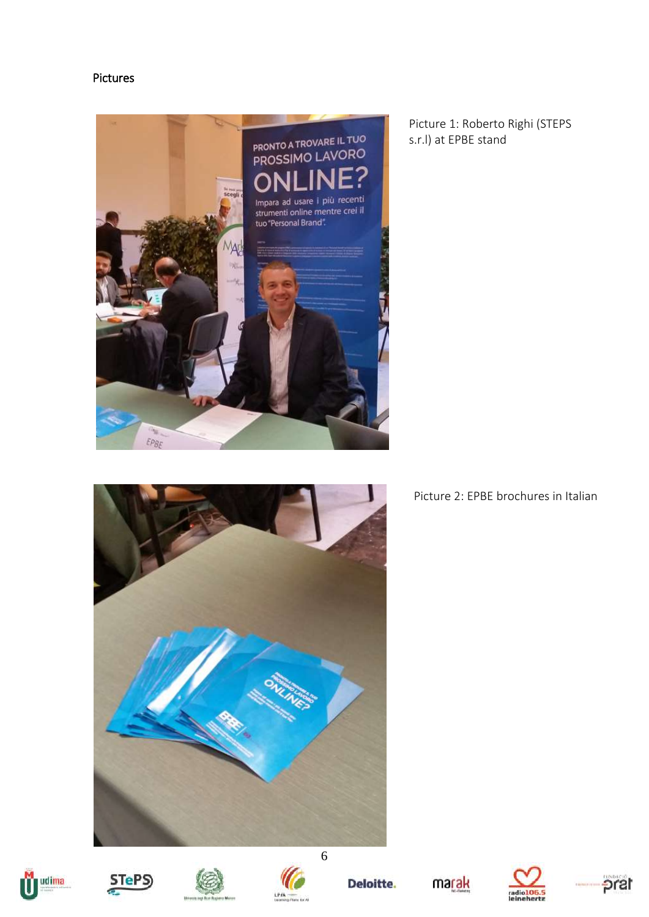### Pictures



Picture 1: Roberto Righi (STEPS s.r.l) at EPBE stand



# Picture 2: EPBE brochures in Italian









Deloitte.





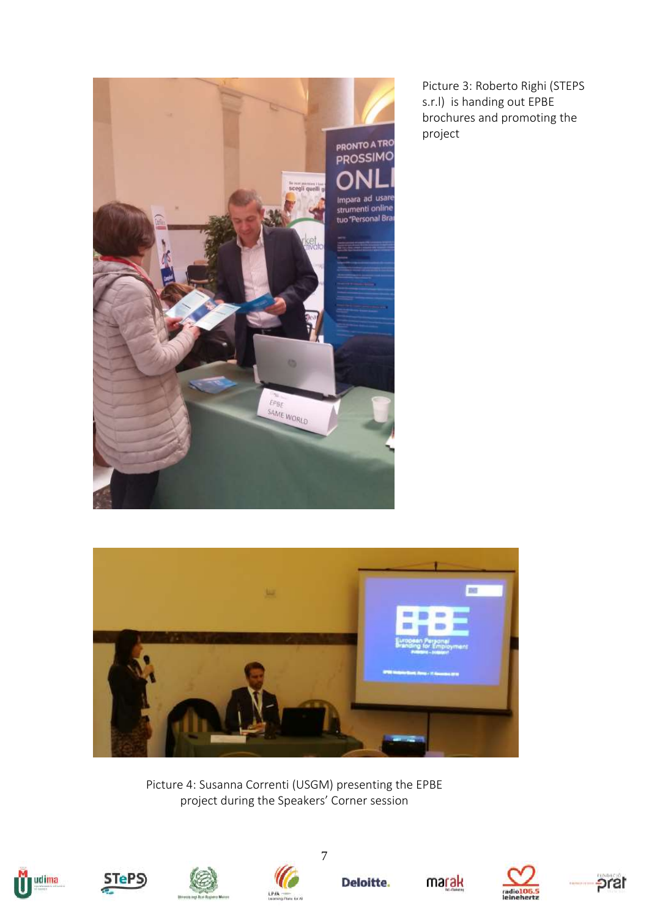

Picture 3: Roberto Righi (STEPS s.r.l) is handing out EPBE brochures and promoting the project



Picture 4: Susanna Correnti (USGM) presenting the EPBE project during the Speakers' Corner session









7

**Deloitte.**